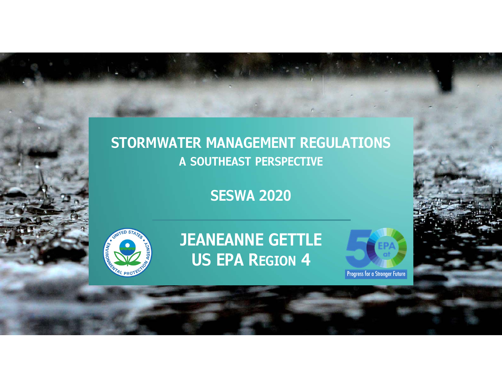#### **STORMWATER MANAGEMENT REGULATIONS A SOUTHEAST PERSPECTIVE**

**SESWA 2020**



**JEANEANNE GETTLE US EPA REGION 4**



**Progress for a Stronger Future**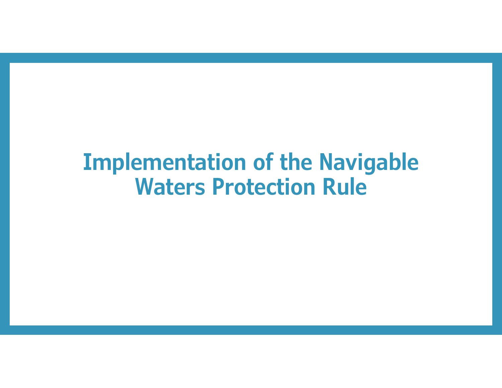# **Implementation of the Navigable Waters Protection Rule**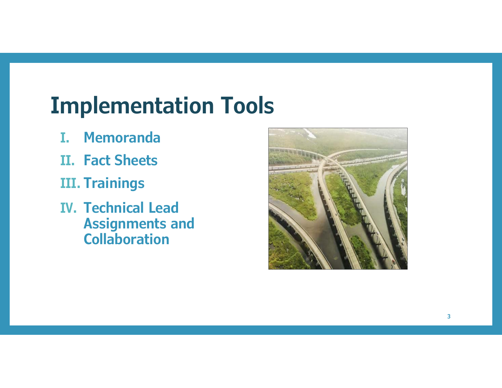# **Implementation Tools**

- **I. Memoranda**
- **II. Fact Sheets**
- **III. Trainings**
- **IV. Technical Lead Assignments and Collaboration**

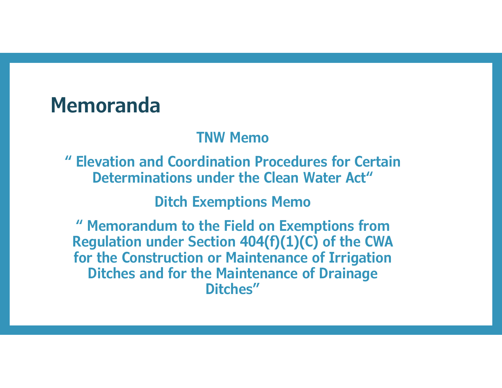### **Memoranda**

#### **TNW Memo**

**" Elevation and Coordination Procedures for Certain Determinations under the Clean Water Act"** 

**Ditch Exemptions Memo**

**" Memorandum to the Field on Exemptions from Regulation under Section 404(f)(1)(C) of the CWA for the Construction or Maintenance of Irrigation Ditches and for the Maintenance of Drainage Ditches"**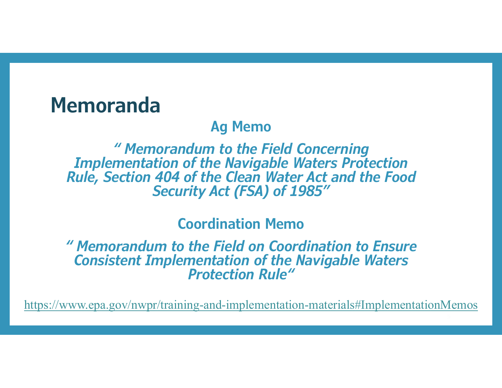### **Memoranda**

#### **Ag Memo**

*" Memorandum to the Field Concerning Implementation of the Navigable Waters Protection Rule, Section 404 of the Clean Water Act and the Food Security Act (FSA) of 1985"* 

**Coordination Memo**

*" Memorandum to the Field on Coordination to Ensure Consistent Implementation of the Navigable Waters Protection Rule"* 

https://www.epa.gov/nwpr/training-and-implementation-materials#ImplementationMemos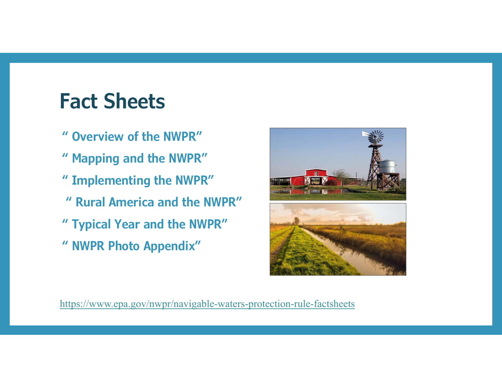# **Fact Sheets**

- **" Overview of the NWPR"**
- **" Mapping and the NWPR"**
- **" Implementing the NWPR"**
- **" Rural America and the NWPR"**
- **" Typical Year and the NWPR"**
- **" NWPR Photo Appendix"**



https://www.epa.gov/nwpr/navigable-waters-protection-rule-factsheets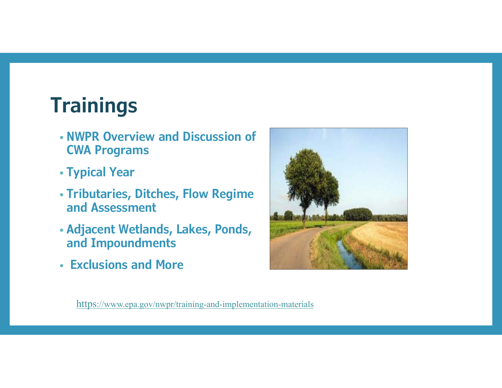# **Trainings**

- **NWPR Overview and Discussion of CWA Programs**
- **Typical Year**
- **Tributaries, Ditches, Flow Regime and Assessment**
- **Adjacent Wetlands, Lakes, Ponds, and Impoundments**
- **Exclusions and More**



https://www.epa.gov/nwpr/training-and-implementation-materials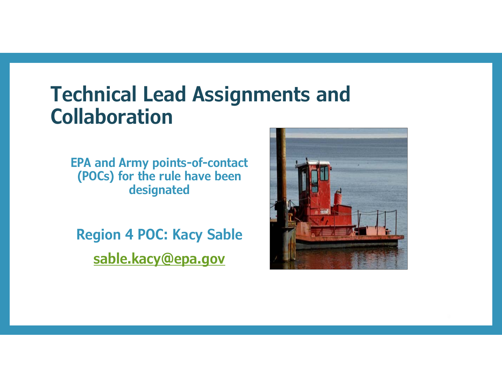### **Technical Lead Assignments and Collaboration**

**EPA and Army points-of-contact (POCs) for the rule have been designated**

**Region 4 POC: Kacy Sable sable.kacy@epa.gov**

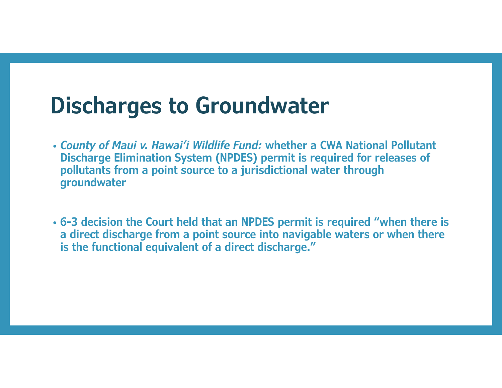# **Discharges to Groundwater**

- *County of Maui v. Hawai'i Wildlife Fund:* **whether a CWA National Pollutant Discharge Elimination System (NPDES) permit is required for releases of pollutants from a point source to a jurisdictional water through groundwater**
- **6-3 decision the Court held that an NPDES permit is required "when there is a direct discharge from a point source into navigable waters or when there is the functional equivalent of a direct discharge."**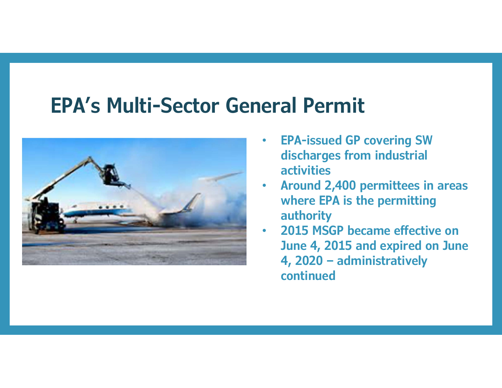## **EPA's Multi-Sector General Permit**



- $\bullet$  **EPA-issued GP covering SW discharges from industrial activities**
- $\bullet$  **Around 2,400 permittees in areas where EPA is the permitting authority**
- • **2015 MSGP became effective on June 4, 2015 and expired on June 4, 2020 – administratively continued**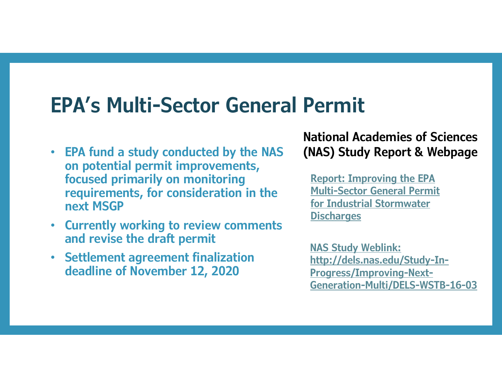## **EPA's Multi-Sector General Permit**

- **EPA fund a study conducted by the NAS on potential permit improvements, focused primarily on monitoring requirements, for consideration in the next MSGP**
- **Currently working to review comments and revise the draft permit**
- **Settlement agreement finalization deadline of November 12, 2020**

**National Academies of Sciences (NAS) Study Report & Webpage**

**Report: Improving the EPA Multi-Sector General Permit for Industrial Stormwater Discharges**

**NAS Study Weblink: http://dels.nas.edu/Study-In-Progress/Improving-Next-Generation-Multi/DELS-WSTB-16-03**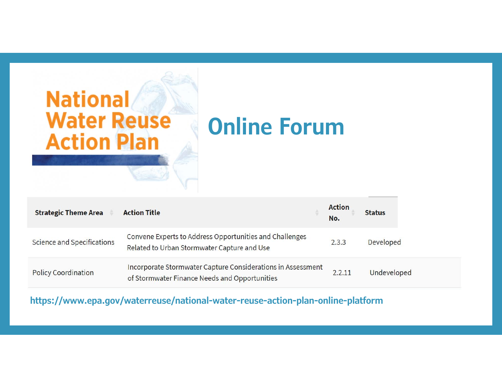

| <b>Strategic Theme Area</b> | <b>Action Title</b>                                                                                          | <b>Action</b><br>No. | <b>Status</b> |
|-----------------------------|--------------------------------------------------------------------------------------------------------------|----------------------|---------------|
| Science and Specifications  | Convene Experts to Address Opportunities and Challenges<br>Related to Urban Stormwater Capture and Use       | 2.3.3                | Developed     |
| <b>Policy Coordination</b>  | Incorporate Stormwater Capture Considerations in Assessment<br>of Stormwater Finance Needs and Opportunities | 2.2.11               | Undeveloped   |

**https://www.epa.gov/waterreuse/national-water-reuse-action-plan-online-platform**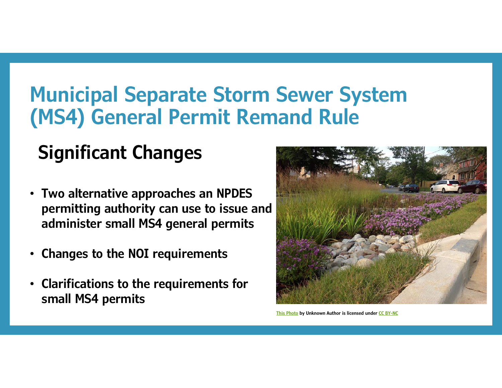# **Municipal Separate Storm Sewer System (MS4) General Permit Remand Rule**

# **Significant Changes**

- **Two alternative approaches an NPDES permitting authority can use to issue and administer small MS4 general permits**
- •**Changes to the NOI requirements**
- • **Clarifications to the requirements for small MS4 permits**



**This Photo by Unknown Author is licensed under CC BY-NC**